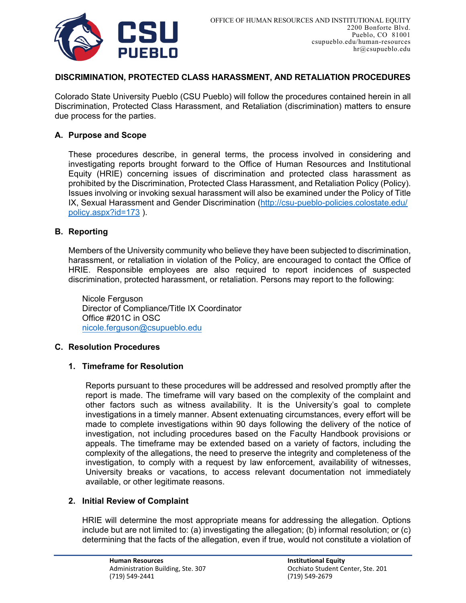

## **DISCRIMINATION, PROTECTED CLASS HARASSMENT, AND RETALIATION PROCEDURES**

Colorado State University Pueblo (CSU Pueblo) will follow the procedures contained herein in all Discrimination, Protected Class Harassment, and Retaliation (discrimination) matters to ensure due process for the parties.

### **A. Purpose and Scope**

These procedures describe, in general terms, the process involved in considering and investigating reports brought forward to the Office of Human Resources and Institutional Equity (HRIE) concerning issues of discrimination and protected class harassment as prohibited by the Discrimination, Protected Class Harassment, and Retaliation Policy (Policy). Issues involving or invoking sexual harassment will also be examined under the Policy of Title IX, Sexual Harassment and Gender Discrimination [\(http://csu-pueblo-policies.colostate.edu/](http://csu-pueblo-policies.colostate.edu/) [policy.aspx?id=173](http://csu-pueblo-policies.colostate.edu/policy.aspx?id=165) ).

#### **B. Reporting**

Members of the University community who believe they have been subjected to discrimination, harassment, or retaliation in violation of the Policy, are encouraged to contact the Office of HRIE. Responsible employees are also required to report incidences of suspected discrimination, protected harassment, or retaliation. Persons may report to the following:

Nicole Ferguson Director of Compliance/Title IX Coordinator Office #201C in OSC [nicole.ferguson](mailto:jennifer.cobb@csupueblo.edu)@csupueblo.edu

#### **C. Resolution Procedures**

### **1. Timeframe for Resolution**

Reports pursuant to these procedures will be addressed and resolved promptly after the report is made. The timeframe will vary based on the complexity of the complaint and other factors such as witness availability. It is the University's goal to complete investigations in a timely manner. Absent extenuating circumstances, every effort will be made to complete investigations within 90 days following the delivery of the notice of investigation, not including procedures based on the Faculty Handbook provisions or appeals. The timeframe may be extended based on a variety of factors, including the complexity of the allegations, the need to preserve the integrity and completeness of the investigation, to comply with a request by law enforcement, availability of witnesses, University breaks or vacations, to access relevant documentation not immediately available, or other legitimate reasons.

### **2. Initial Review of Complaint**

HRIE will determine the most appropriate means for addressing the allegation. Options include but are not limited to: (a) investigating the allegation; (b) informal resolution; or (c) determining that the facts of the allegation, even if true, would not constitute a violation of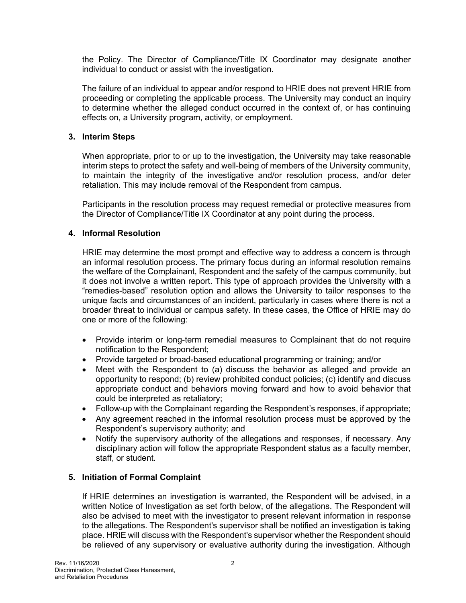the Policy. The Director of Compliance/Title IX Coordinator may designate another individual to conduct or assist with the investigation.

The failure of an individual to appear and/or respond to HRIE does not prevent HRIE from proceeding or completing the applicable process. The University may conduct an inquiry to determine whether the alleged conduct occurred in the context of, or has continuing effects on, a University program, activity, or employment.

## **3. Interim Steps**

When appropriate, prior to or up to the investigation, the University may take reasonable interim steps to protect the safety and well-being of members of the University community, to maintain the integrity of the investigative and/or resolution process, and/or deter retaliation. This may include removal of the Respondent from campus.

Participants in the resolution process may request remedial or protective measures from the Director of Compliance/Title IX Coordinator at any point during the process.

## **4. Informal Resolution**

HRIE may determine the most prompt and effective way to address a concern is through an informal resolution process. The primary focus during an informal resolution remains the welfare of the Complainant, Respondent and the safety of the campus community, but it does not involve a written report. This type of approach provides the University with a "remedies-based" resolution option and allows the University to tailor responses to the unique facts and circumstances of an incident, particularly in cases where there is not a broader threat to individual or campus safety. In these cases, the Office of HRIE may do one or more of the following:

- Provide interim or long-term remedial measures to Complainant that do not require notification to the Respondent;
- Provide targeted or broad-based educational programming or training; and/or
- Meet with the Respondent to (a) discuss the behavior as alleged and provide an opportunity to respond; (b) review prohibited conduct policies; (c) identify and discuss appropriate conduct and behaviors moving forward and how to avoid behavior that could be interpreted as retaliatory;
- Follow-up with the Complainant regarding the Respondent's responses, if appropriate;
- Any agreement reached in the informal resolution process must be approved by the Respondent's supervisory authority; and
- Notify the supervisory authority of the allegations and responses, if necessary. Any disciplinary action will follow the appropriate Respondent status as a faculty member, staff, or student.

# **5. Initiation of Formal Complaint**

If HRIE determines an investigation is warranted, the Respondent will be advised, in a written Notice of Investigation as set forth below, of the allegations. The Respondent will also be advised to meet with the investigator to present relevant information in response to the allegations. The Respondent's supervisor shall be notified an investigation is taking place. HRIE will discuss with the Respondent's supervisor whether the Respondent should be relieved of any supervisory or evaluative authority during the investigation. Although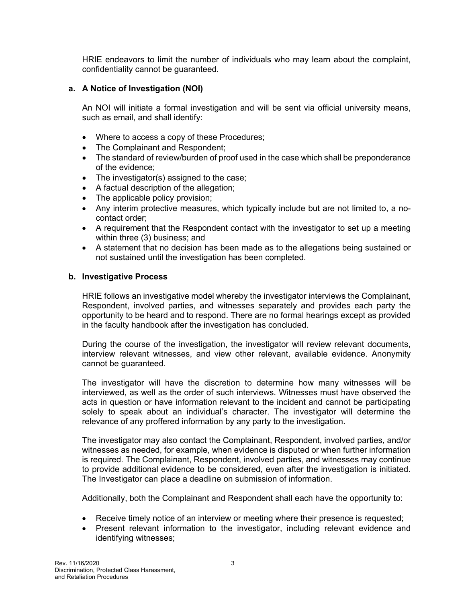HRIE endeavors to limit the number of individuals who may learn about the complaint, confidentiality cannot be guaranteed.

## **a. A Notice of Investigation (NOI)**

An NOI will initiate a formal investigation and will be sent via official university means, such as email, and shall identify:

- Where to access a copy of these Procedures;
- The Complainant and Respondent;
- The standard of review/burden of proof used in the case which shall be preponderance of the evidence;
- The investigator(s) assigned to the case;
- A factual description of the allegation;
- The applicable policy provision;
- Any interim protective measures, which typically include but are not limited to, a nocontact order;
- A requirement that the Respondent contact with the investigator to set up a meeting within three (3) business; and
- A statement that no decision has been made as to the allegations being sustained or not sustained until the investigation has been completed.

### **b. Investigative Process**

HRIE follows an investigative model whereby the investigator interviews the Complainant, Respondent, involved parties, and witnesses separately and provides each party the opportunity to be heard and to respond. There are no formal hearings except as provided in the faculty handbook after the investigation has concluded.

During the course of the investigation, the investigator will review relevant documents, interview relevant witnesses, and view other relevant, available evidence. Anonymity cannot be guaranteed.

The investigator will have the discretion to determine how many witnesses will be interviewed, as well as the order of such interviews. Witnesses must have observed the acts in question or have information relevant to the incident and cannot be participating solely to speak about an individual's character. The investigator will determine the relevance of any proffered information by any party to the investigation.

The investigator may also contact the Complainant, Respondent, involved parties, and/or witnesses as needed, for example, when evidence is disputed or when further information is required. The Complainant, Respondent, involved parties, and witnesses may continue to provide additional evidence to be considered, even after the investigation is initiated. The Investigator can place a deadline on submission of information.

Additionally, both the Complainant and Respondent shall each have the opportunity to:

- Receive timely notice of an interview or meeting where their presence is requested;
- Present relevant information to the investigator, including relevant evidence and identifying witnesses;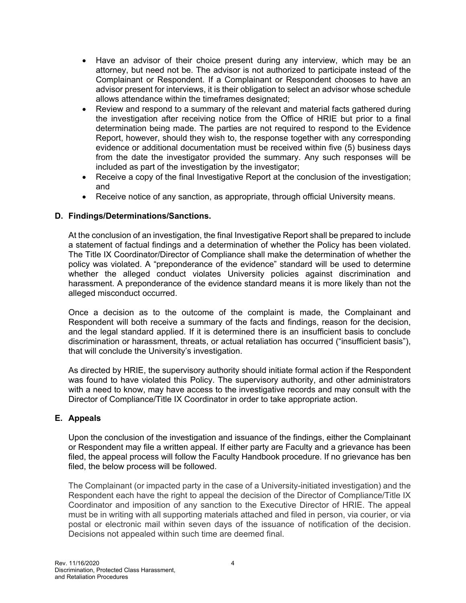- Have an advisor of their choice present during any interview, which may be an attorney, but need not be. The advisor is not authorized to participate instead of the Complainant or Respondent. If a Complainant or Respondent chooses to have an advisor present for interviews, it is their obligation to select an advisor whose schedule allows attendance within the timeframes designated;
- Review and respond to a summary of the relevant and material facts gathered during the investigation after receiving notice from the Office of HRIE but prior to a final determination being made. The parties are not required to respond to the Evidence Report, however, should they wish to, the response together with any corresponding evidence or additional documentation must be received within five (5) business days from the date the investigator provided the summary. Any such responses will be included as part of the investigation by the investigator;
- Receive a copy of the final Investigative Report at the conclusion of the investigation: and
- Receive notice of any sanction, as appropriate, through official University means.

## **D. Findings/Determinations/Sanctions.**

At the conclusion of an investigation, the final Investigative Report shall be prepared to include a statement of factual findings and a determination of whether the Policy has been violated. The Title IX Coordinator/Director of Compliance shall make the determination of whether the policy was violated. A "preponderance of the evidence" standard will be used to determine whether the alleged conduct violates University policies against discrimination and harassment. A preponderance of the evidence standard means it is more likely than not the alleged misconduct occurred.

Once a decision as to the outcome of the complaint is made, the Complainant and Respondent will both receive a summary of the facts and findings, reason for the decision, and the legal standard applied. If it is determined there is an insufficient basis to conclude discrimination or harassment, threats, or actual retaliation has occurred ("insufficient basis"), that will conclude the University's investigation.

As directed by HRIE, the supervisory authority should initiate formal action if the Respondent was found to have violated this Policy. The supervisory authority, and other administrators with a need to know, may have access to the investigative records and may consult with the Director of Compliance/Title IX Coordinator in order to take appropriate action.

### **E. Appeals**

Upon the conclusion of the investigation and issuance of the findings, either the Complainant or Respondent may file a written appeal. If either party are Faculty and a grievance has been filed, the appeal process will follow the Faculty Handbook procedure. If no grievance has ben filed, the below process will be followed.

The Complainant (or impacted party in the case of a University-initiated investigation) and the Respondent each have the right to appeal the decision of the Director of Compliance/Title IX Coordinator and imposition of any sanction to the Executive Director of HRIE. The appeal must be in writing with all supporting materials attached and filed in person, via courier, or via postal or electronic mail within seven days of the issuance of notification of the decision. Decisions not appealed within such time are deemed final.